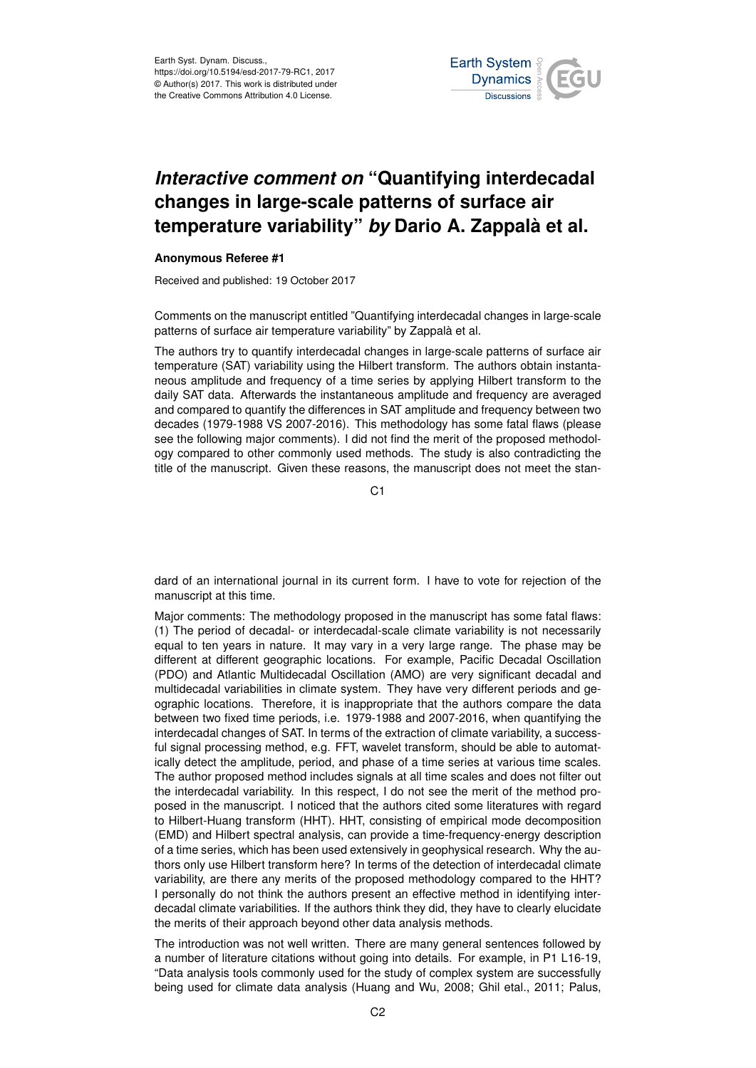

## *Interactive comment on* **"Quantifying interdecadal changes in large-scale patterns of surface air temperature variability"** *by* **Dario A. Zappalà et al.**

## **Anonymous Referee #1**

Received and published: 19 October 2017

Comments on the manuscript entitled "Quantifying interdecadal changes in large-scale patterns of surface air temperature variability" by Zappalà et al.

The authors try to quantify interdecadal changes in large-scale patterns of surface air temperature (SAT) variability using the Hilbert transform. The authors obtain instantaneous amplitude and frequency of a time series by applying Hilbert transform to the daily SAT data. Afterwards the instantaneous amplitude and frequency are averaged and compared to quantify the differences in SAT amplitude and frequency between two decades (1979-1988 VS 2007-2016). This methodology has some fatal flaws (please see the following major comments). I did not find the merit of the proposed methodology compared to other commonly used methods. The study is also contradicting the title of the manuscript. Given these reasons, the manuscript does not meet the stan-

C<sub>1</sub>

dard of an international journal in its current form. I have to vote for rejection of the manuscript at this time.

Major comments: The methodology proposed in the manuscript has some fatal flaws: (1) The period of decadal- or interdecadal-scale climate variability is not necessarily equal to ten years in nature. It may vary in a very large range. The phase may be different at different geographic locations. For example, Pacific Decadal Oscillation (PDO) and Atlantic Multidecadal Oscillation (AMO) are very significant decadal and multidecadal variabilities in climate system. They have very different periods and geographic locations. Therefore, it is inappropriate that the authors compare the data between two fixed time periods, i.e. 1979-1988 and 2007-2016, when quantifying the interdecadal changes of SAT. In terms of the extraction of climate variability, a successful signal processing method, e.g. FFT, wavelet transform, should be able to automatically detect the amplitude, period, and phase of a time series at various time scales. The author proposed method includes signals at all time scales and does not filter out the interdecadal variability. In this respect, I do not see the merit of the method proposed in the manuscript. I noticed that the authors cited some literatures with regard to Hilbert-Huang transform (HHT). HHT, consisting of empirical mode decomposition (EMD) and Hilbert spectral analysis, can provide a time-frequency-energy description of a time series, which has been used extensively in geophysical research. Why the authors only use Hilbert transform here? In terms of the detection of interdecadal climate variability, are there any merits of the proposed methodology compared to the HHT? I personally do not think the authors present an effective method in identifying interdecadal climate variabilities. If the authors think they did, they have to clearly elucidate the merits of their approach beyond other data analysis methods.

The introduction was not well written. There are many general sentences followed by a number of literature citations without going into details. For example, in P1 L16-19, "Data analysis tools commonly used for the study of complex system are successfully being used for climate data analysis (Huang and Wu, 2008; Ghil etal., 2011; Palus,